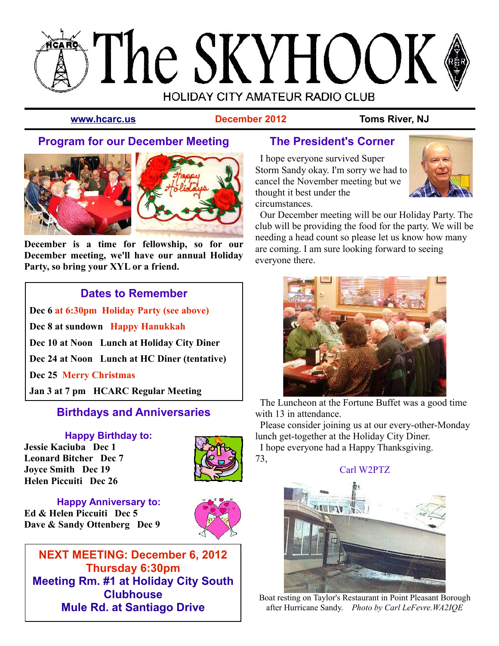# **SThe SKYHOOK HOLIDAY CITY AMATEUR RADIO CLUB**

**[www.hcarc.us](http://Www.hcarc.us/) December 2012 Toms River, NJ**

### **Program for our December Meeting**





**December is a time for fellowship, so for our December meeting, we'll have our annual Holiday Party, so bring your XYL or a friend.**

#### **Dates to Remember**

**Dec 6 at 6:30pm Holiday Party (see above) Dec 8 at sundown Happy Hanukkah Dec 10 at Noon Lunch at Holiday City Diner Dec 24 at Noon Lunch at HC Diner (tentative) Dec 25 Merry Christmas Jan 3 at 7 pm HCARC Regular Meeting**

#### **Birthdays and Anniversaries**

**Happy Birthday to: Jessie Kaciuba Dec 1 Leonard Bitcher Dec 7 Joyce Smith Dec 19 Helen Piccuiti Dec 26**



**Happy Anniversary to: Ed & Helen Piccuiti Dec 5 Dave & Sandy Ottenberg Dec 9**



**NEXT MEETING: December 6, 2012 Thursday 6:30pm Meeting Rm. #1 at Holiday City South Clubhouse Mule Rd. at Santiago Drive**

#### **The President's Corner**

 I hope everyone survived Super Storm Sandy okay. I'm sorry we had to cancel the November meeting but we thought it best under the circumstances.



 Our December meeting will be our Holiday Party. The club will be providing the food for the party. We will be needing a head count so please let us know how many are coming. I am sure looking forward to seeing everyone there.



 The Luncheon at the Fortune Buffet was a good time with 13 in attendance.

 Please consider joining us at our every-other-Monday lunch get-together at the Holiday City Diner.

 I hope everyone had a Happy Thanksgiving. 73,



Boat resting on Taylor's Restaurant in Point Pleasant Borough after Hurricane Sandy. *Photo by Carl LeFevre.WA2IQE*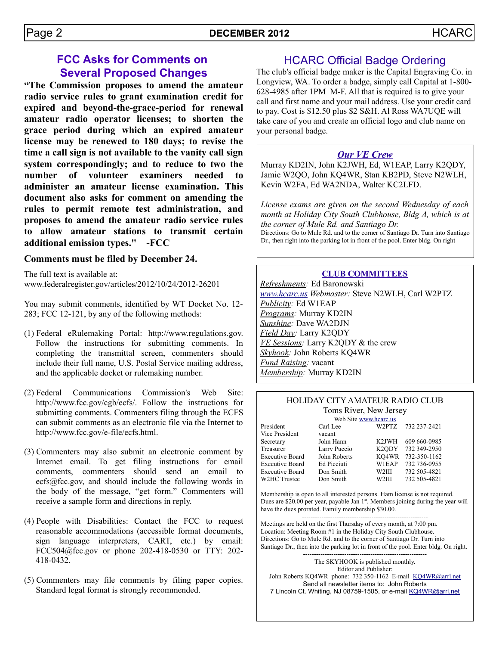#### **FCC Asks for Comments on Several Proposed Changes**

**"The Commission proposes to amend the amateur radio service rules to grant examination credit for expired and beyond-the-grace-period for renewal amateur radio operator licenses; to shorten the grace period during which an expired amateur license may be renewed to 180 days; to revise the time a call sign is not available to the vanity call sign system correspondingly; and to reduce to two the number of volunteer examiners needed to administer an amateur license examination. This document also asks for comment on amending the rules to permit remote test administration, and proposes to amend the amateur radio service rules to allow amateur stations to transmit certain additional emission types." -FCC**

#### **Comments must be filed by December 24.**

The full text is available at: www.federalregister.gov/articles/2012/10/24/2012-26201

You may submit comments, identified by WT Docket No. 12- 283; FCC 12-121, by any of the following methods:

- (1) Federal eRulemaking Portal: http://www.regulations.gov. Follow the instructions for submitting comments. In completing the transmittal screen, commenters should include their full name, U.S. Postal Service mailing address, and the applicable docket or rulemaking number.
- (2) Federal Communications Commission's Web Site: http://www.fcc.gov/cgb/ecfs/. Follow the instructions for submitting comments. Commenters filing through the ECFS can submit comments as an electronic file via the Internet to http://www.fcc.gov/e-file/ecfs.html.
- (3) Commenters may also submit an electronic comment by Internet email. To get filing instructions for email comments, commenters should send an email to  $ecs@fcc.gov$ , and should include the following words in the body of the message, "get form." Commenters will receive a sample form and directions in reply.
- (4) People with Disabilities: Contact the FCC to request reasonable accommodations (accessible format documents, sign language interpreters, CART, etc.) by email: FCC504@fcc.gov or phone 202-418-0530 or TTY: 202- 418-0432.
- (5) Commenters may file comments by filing paper copies. Standard legal format is strongly recommended.

#### HCARC Official Badge Ordering

The club's official badge maker is the Capital Engraving Co. in Longview, WA. To order a badge, simply call Capital at 1-800- 628-4985 after 1PM M-F. All that is required is to give your call and first name and your mail address. Use your credit card to pay. Cost is \$12.50 plus \$2 S&H. Al Ross WA7UQE will take care of you and create an official logo and club name on your personal badge.

#### *Our VE Crew*

Murray KD2IN, John K2JWH, Ed, W1EAP, Larry K2QDY, Jamie W2QO, John KQ4WR, Stan KB2PD, Steve N2WLH, Kevin W2FA, Ed WA2NDA, Walter KC2LFD.

*License exams are given on the second Wednesday of each month at Holiday City South Clubhouse, Bldg A, which is at the corner of Mule Rd. and Santiago Dr.* Directions: Go to Mule Rd. and to the corner of Santiago Dr. Turn into Santiago Dr., then right into the parking lot in front of the pool. Enter bldg. On right

#### **CLUB COMMITTEES**

*Refreshments:* Ed Baronowski *[www.hcarc.us](http://www.hcarc.us/) Webmaster:* Steve N2WLH, Carl W2PTZ *Publicity:* Ed W1EAP *Programs:* Murray KD2IN *Sunshine:* Dave WA2DJN *Field Day:* Larry K2QDY *VE Sessions:* Larry K2QDY & the crew *Skyhook:* John Roberts KQ4WR *Fund Raising:* vacant *Membership:* Murray KD2IN

#### HOLIDAY CITY AMATEUR RADIO CLUB Toms River, New Jersey

|                        | Web Site www.hcarc.us |                    |                |
|------------------------|-----------------------|--------------------|----------------|
| President              | Carl Lee              | W2PTZ              | 732 237-2421   |
| Vice President         | vacant                |                    |                |
| Secretary              | John Hann             | K <sub>2</sub> JWH | 609 660 - 0985 |
| Treasurer              | Larry Puccio          | K <sub>2</sub> ODY | 732 349-2950   |
| <b>Executive Board</b> | John Roberts          | KO4WR              | 732-350-1162   |
| Executive Board        | Ed Picciuti           | W1EAP              | 732 736-0955   |
| Executive Board        | Don Smith             | W2III              | 732 505-4821   |
| <b>W2HC</b> Trustee    | Don Smith             | W2III              | 732 505-4821   |
|                        |                       |                    |                |

Membership is open to all interested persons. Ham license is not required. Dues are \$20.00 per year, payable Jan  $1<sup>st</sup>$ . Members joining during the year will have the dues prorated. Family membership \$30.00. ----------------------------------------------------------

Meetings are held on the first Thursday of every month, at 7:00 pm. Location: Meeting Room #1 in the Holiday City South Clubhouse. Directions: Go to Mule Rd. and to the corner of Santiago Dr. Turn into Santiago Dr., then into the parking lot in front of the pool. Enter bldg. On right.

--------------------------------------------------------- The SKYHOOK is published monthly. Editor and Publisher: John Roberts KQ4WR phone: 732 350-1162 E-mail [KQ4WR@arrl.net](mailto:KQ4WR@arrl.net) Send all newsletter items to: John Roberts 7 Lincoln Ct. Whiting, NJ 08759-1505, or e-mail [KQ4WR@arrl.net](mailto:KQ4WR@arrl.net)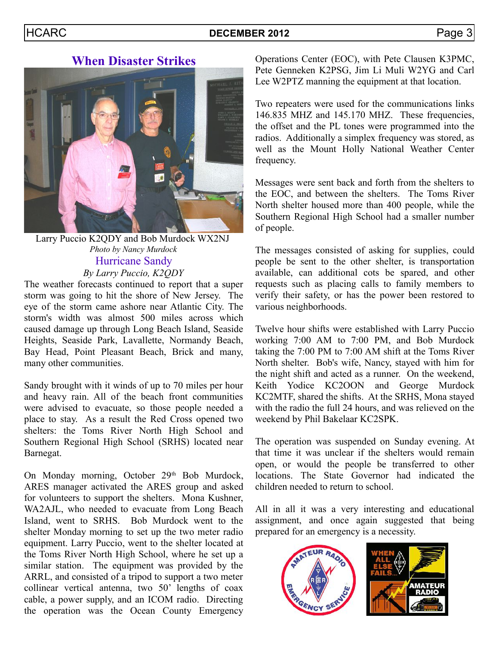#### HCARC **DECEMBER 2012** Page 3

#### **When Disaster Strikes**



Larry Puccio K2QDY and Bob Murdock WX2NJ *Photo by Nancy Murdock* Hurricane Sandy *By Larry Puccio, K2QDY*

The weather forecasts continued to report that a super storm was going to hit the shore of New Jersey. The eye of the storm came ashore near Atlantic City. The storm's width was almost 500 miles across which caused damage up through Long Beach Island, Seaside Heights, Seaside Park, Lavallette, Normandy Beach, Bay Head, Point Pleasant Beach, Brick and many, many other communities.

Sandy brought with it winds of up to 70 miles per hour and heavy rain. All of the beach front communities were advised to evacuate, so those people needed a place to stay. As a result the Red Cross opened two shelters: the Toms River North High School and Southern Regional High School (SRHS) located near Barnegat.

On Monday morning, October 29<sup>th</sup> Bob Murdock, ARES manager activated the ARES group and asked for volunteers to support the shelters. Mona Kushner, WA2AJL, who needed to evacuate from Long Beach Island, went to SRHS. Bob Murdock went to the shelter Monday morning to set up the two meter radio equipment. Larry Puccio, went to the shelter located at the Toms River North High School, where he set up a similar station. The equipment was provided by the ARRL, and consisted of a tripod to support a two meter collinear vertical antenna, two 50' lengths of coax cable, a power supply, and an ICOM radio. Directing the operation was the Ocean County Emergency Operations Center (EOC), with Pete Clausen K3PMC, Pete Genneken K2PSG, Jim Li Muli W2YG and Carl Lee W2PTZ manning the equipment at that location.

Two repeaters were used for the communications links 146.835 MHZ and 145.170 MHZ. These frequencies, the offset and the PL tones were programmed into the radios. Additionally a simplex frequency was stored, as well as the Mount Holly National Weather Center frequency.

Messages were sent back and forth from the shelters to the EOC, and between the shelters. The Toms River North shelter housed more than 400 people, while the Southern Regional High School had a smaller number of people.

The messages consisted of asking for supplies, could people be sent to the other shelter, is transportation available, can additional cots be spared, and other requests such as placing calls to family members to verify their safety, or has the power been restored to various neighborhoods.

Twelve hour shifts were established with Larry Puccio working 7:00 AM to 7:00 PM, and Bob Murdock taking the 7:00 PM to 7:00 AM shift at the Toms River North shelter. Bob's wife, Nancy, stayed with him for the night shift and acted as a runner. On the weekend, Keith Yodice KC2OON and George Murdock KC2MTF, shared the shifts. At the SRHS, Mona stayed with the radio the full 24 hours, and was relieved on the weekend by Phil Bakelaar KC2SPK.

The operation was suspended on Sunday evening. At that time it was unclear if the shelters would remain open, or would the people be transferred to other locations. The State Governor had indicated the children needed to return to school.

All in all it was a very interesting and educational assignment, and once again suggested that being prepared for an emergency is a necessity.